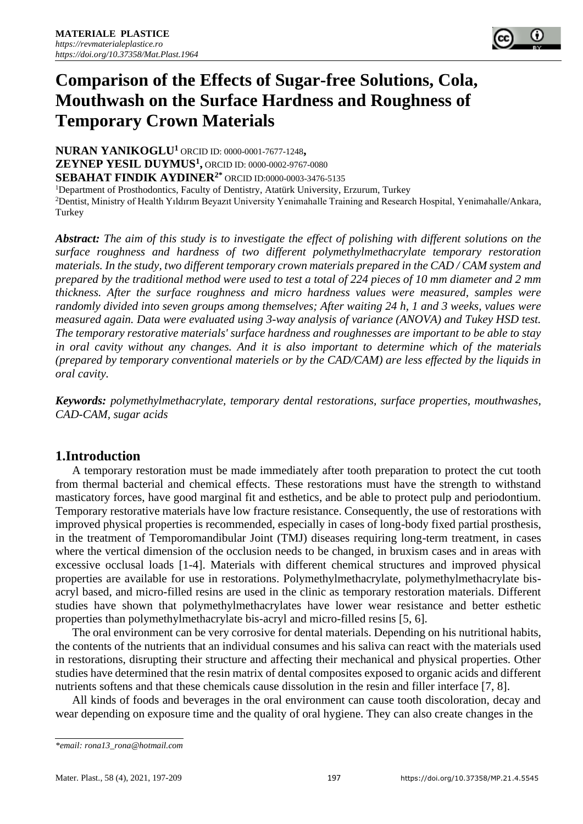

# **Comparison of the Effects of Sugar-free Solutions, Cola, Mouthwash on the Surface Hardness and Roughness of Temporary Crown Materials**

**NURAN YANIKOGLU<sup>1</sup>** ORCID ID: [0000-0001-7677-1248](http://orcid.org/0000-0001-7677-1248)**, ZEYNEP YESIL DUYMUS<sup>1</sup> ,** ORCID ID: 0000-0002-9767-0080 **SEBAHAT FINDIK AYDINER2\*** ORCID ID:0000-0003-3476-5135

<sup>1</sup>Department of Prosthodontics, Faculty of Dentistry, Atatürk University, Erzurum, Turkey

<sup>2</sup>Dentist, Ministry of Health Yıldırım Beyazıt University Yenimahalle Training and Research Hospital, Yenimahalle/Ankara, Turkey

*Abstract: The aim of this study is to investigate the effect of polishing with different solutions on the surface roughness and hardness of two different polymethylmethacrylate temporary restoration materials. In the study, two different temporary crown materials prepared in the CAD / CAM system and prepared by the traditional method were used to test a total of 224 pieces of 10 mm diameter and 2 mm thickness. After the surface roughness and micro hardness values were measured, samples were randomly divided into seven groups among themselves; After waiting 24 h, 1 and 3 weeks, values were measured again. Data were evaluated using 3-way analysis of variance (ANOVA) and Tukey HSD test. The temporary restorative materials' surface hardness and roughnesses are important to be able to stay in oral cavity without any changes. And it is also important to determine which of the materials (prepared by temporary conventional materiels or by the CAD/CAM) are less effected by the liquids in oral cavity.*

*Keywords: polymethylmethacrylate, temporary dental restorations, surface properties, mouthwashes, CAD-CAM, [sugar acids](https://meshb.nlm.nih.gov/record/ui?ui=D013400)*

## **1.Introduction**

A temporary restoration must be made immediately after tooth preparation to protect the cut tooth from thermal bacterial and chemical effects. These restorations must have the strength to withstand masticatory forces, have good marginal fit and esthetics, and be able to protect pulp and periodontium. Temporary restorative materials have low fracture resistance. Consequently, the use of restorations with improved physical properties is recommended, especially in cases of long-body fixed partial prosthesis, in the treatment of Temporomandibular Joint (TMJ) diseases requiring long-term treatment, in cases where the vertical dimension of the occlusion needs to be changed, in bruxism cases and in areas with excessive occlusal loads [1-4]. Materials with different chemical structures and improved physical properties are available for use in restorations. Polymethylmethacrylate, polymethylmethacrylate bisacryl based, and micro-filled resins are used in the clinic as temporary restoration materials. Different studies have shown that polymethylmethacrylates have lower wear resistance and better esthetic properties than polymethylmethacrylate bis-acryl and micro-filled resins [5, 6].

The oral environment can be very corrosive for dental materials. Depending on his nutritional habits, the contents of the nutrients that an individual consumes and his saliva can react with the materials used in restorations, disrupting their structure and affecting their mechanical and physical properties. Other studies have determined that the resin matrix of dental composites exposed to organic acids and different nutrients softens and that these chemicals cause dissolution in the resin and filler interface [7, 8].

All kinds of foods and beverages in the oral environment can cause tooth discoloration, decay and wear depending on exposure time and the quality of oral hygiene. They can also create changes in the

*<sup>\*</sup>email[: rona13\\_rona@hotmail.com](mailto:rona13_rona@hotmail.com)*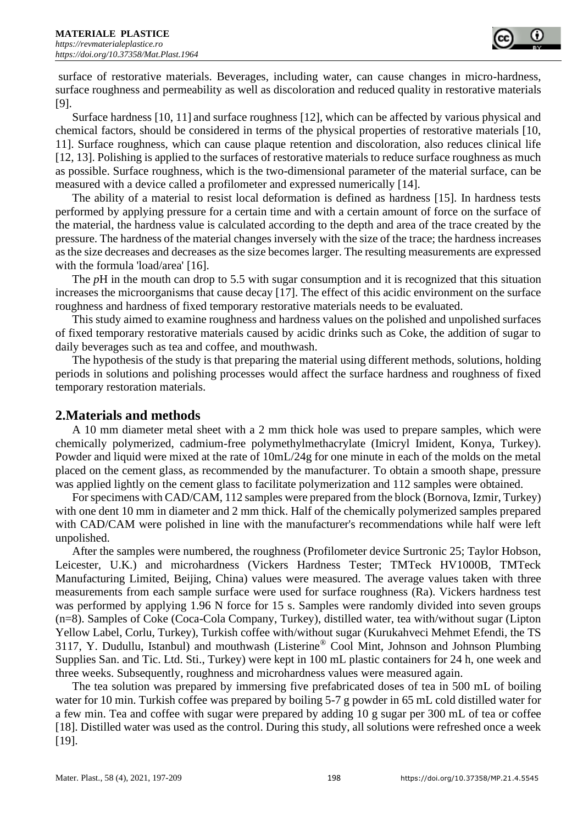surface of restorative materials. Beverages, including water, can cause changes in micro-hardness, surface roughness and permeability as well as discoloration and reduced quality in restorative materials [9].

Surface hardness [10, 11] and surface roughness [12], which can be affected by various physical and chemical factors, should be considered in terms of the physical properties of restorative materials [10, 11]. Surface roughness, which can cause plaque retention and discoloration, also reduces clinical life [12, 13]. Polishing is applied to the surfaces of restorative materials to reduce surface roughness as much as possible. Surface roughness, which is the two-dimensional parameter of the material surface, can be measured with a device called a profilometer and expressed numerically [14].

The ability of a material to resist local deformation is defined as hardness [15]. In hardness tests performed by applying pressure for a certain time and with a certain amount of force on the surface of the material, the hardness value is calculated according to the depth and area of the trace created by the pressure. The hardness of the material changes inversely with the size of the trace; the hardness increases as the size decreases and decreases as the size becomes larger. The resulting measurements are expressed with the formula 'load/area' [16].

The *pH* in the mouth can drop to 5.5 with sugar consumption and it is recognized that this situation increases the microorganisms that cause decay [17]. The effect of this acidic environment on the surface roughness and hardness of fixed temporary restorative materials needs to be evaluated.

This study aimed to examine roughness and hardness values on the polished and unpolished surfaces of fixed temporary restorative materials caused by acidic drinks such as Coke, the addition of sugar to daily beverages such as tea and coffee, and mouthwash.

The hypothesis of the study is that preparing the material using different methods, solutions, holding periods in solutions and polishing processes would affect the surface hardness and roughness of fixed temporary restoration materials.

## **2.Materials and methods**

A 10 mm diameter metal sheet with a 2 mm thick hole was used to prepare samples, which were chemically polymerized, cadmium-free polymethylmethacrylate (Imicryl Imident, Konya, Turkey). Powder and liquid were mixed at the rate of 10mL/24g for one minute in each of the molds on the metal placed on the cement glass, as recommended by the manufacturer. To obtain a smooth shape, pressure was applied lightly on the cement glass to facilitate polymerization and 112 samples were obtained.

For specimens with CAD/CAM, 112 samples were prepared from the block (Bornova, Izmir, Turkey) with one dent 10 mm in diameter and 2 mm thick. Half of the chemically polymerized samples prepared with CAD/CAM were polished in line with the manufacturer's recommendations while half were left unpolished.

After the samples were numbered, the roughness (Profilometer device Surtronic 25; Taylor Hobson, Leicester, U.K.) and microhardness (Vickers Hardness Tester; TMTeck HV1000B, TMTeck Manufacturing Limited, Beijing, China) values were measured. The average values taken with three measurements from each sample surface were used for surface roughness (Ra). Vickers hardness test was performed by applying 1.96 N force for 15 s. Samples were randomly divided into seven groups (n=8). Samples of Coke (Coca-Cola Company, Turkey), distilled water, tea with/without sugar (Lipton Yellow Label, Corlu, Turkey), Turkish coffee with/without sugar (Kurukahveci Mehmet Efendi, the TS 3117, Y. Dudullu, Istanbul) and mouthwash (Listerine® Cool Mint, Johnson and Johnson Plumbing Supplies San. and Tic. Ltd. Sti., Turkey) were kept in 100 mL plastic containers for 24 h, one week and three weeks. Subsequently, roughness and microhardness values were measured again.

The tea solution was prepared by immersing five prefabricated doses of tea in 500 mL of boiling water for 10 min. Turkish coffee was prepared by boiling 5-7 g powder in 65 mL cold distilled water for a few min. Tea and coffee with sugar were prepared by adding 10 g sugar per 300 mL of tea or coffee [18]. Distilled water was used as the control. During this study, all solutions were refreshed once a week [19].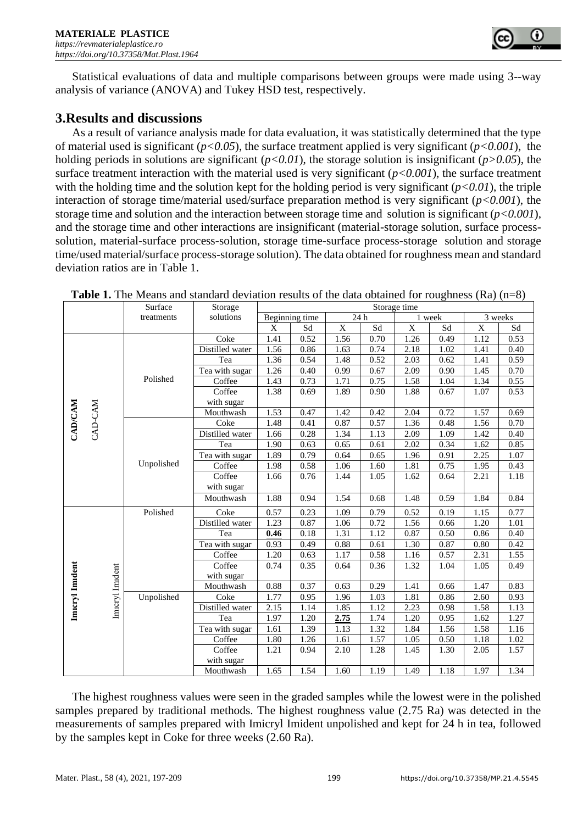

Statistical evaluations of data and multiple comparisons between groups were made using 3--way analysis of variance (ANOVA) and Tukey HSD test, respectively.

## **3.Results and discussions**

As a result of variance analysis made for data evaluation, it was statistically determined that the type of material used is significant (*p<0.05*), the surface treatment applied is very significant (*p<0.001*), the holding periods in solutions are significant (*p<0.01*), the storage solution is insignificant (*p>0.05*), the surface treatment interaction with the material used is very significant  $(p<0.001)$ , the surface treatment with the holding time and the solution kept for the holding period is very significant  $(p<0.01)$ , the triple interaction of storage time/material used/surface preparation method is very significant (*p<0.001*), the storage time and solution and the interaction between storage time and solution is significant (*p<0.001*), and the storage time and other interactions are insignificant (material-storage solution, surface processsolution, material-surface process-solution, storage time-surface process-storage solution and storage time/used material/surface process-storage solution). The data obtained for roughness mean and standard deviation ratios are in Table 1.

|                 |         |                | Surface    | Storage         | Storage time           |      |      |                     |             |      |             |      |
|-----------------|---------|----------------|------------|-----------------|------------------------|------|------|---------------------|-------------|------|-------------|------|
|                 |         |                | treatments | solutions       | 24 h<br>Beginning time |      |      |                     | 1 week      |      | 3 weeks     |      |
|                 |         |                |            |                 | X                      | Sd   | X    | $\operatorname{Sd}$ | $\mathbf X$ | Sd   | $\mathbf X$ | Sd   |
|                 |         |                | Polished   | Coke            | 1.41                   | 0.52 | 1.56 | 0.70                | 1.26        | 0.49 | 1.12        | 0.53 |
|                 |         |                |            | Distilled water | 1.56                   | 0.86 | 1.63 | 0.74                | 2.18        | 1.02 | 1.41        | 0.40 |
|                 |         |                |            | Tea             | 1.36                   | 0.54 | 1.48 | 0.52                | 2.03        | 0.62 | 1.41        | 0.59 |
| <b>CAD/CAM</b>  |         |                |            | Tea with sugar  | 1.26                   | 0.40 | 0.99 | 0.67                | 2.09        | 0.90 | 1.45        | 0.70 |
|                 |         |                |            | Coffee          | 1.43                   | 0.73 | 1.71 | 0.75                | 1.58        | 1.04 | 1.34        | 0.55 |
|                 |         |                |            | Coffee          | 1.38                   | 0.69 | 1.89 | 0.90                | 1.88        | 0.67 | 1.07        | 0.53 |
|                 |         |                |            | with sugar      |                        |      |      |                     |             |      |             |      |
|                 |         |                |            | Mouthwash       | 1.53                   | 0.47 | 1.42 | 0.42                | 2.04        | 0.72 | 1.57        | 0.69 |
|                 | CAD-CAM |                |            | Coke            | 1.48                   | 0.41 | 0.87 | 0.57                | 1.36        | 0.48 | 1.56        | 0.70 |
|                 |         |                |            | Distilled water | 1.66                   | 0.28 | 1.34 | 1.13                | 2.09        | 1.09 | 1.42        | 0.40 |
|                 |         |                |            | Tea             | 1.90                   | 0.63 | 0.65 | 0.61                | 2.02        | 0.34 | 1.62        | 0.85 |
|                 |         |                | Unpolished | Tea with sugar  | 1.89                   | 0.79 | 0.64 | 0.65                | 1.96        | 0.91 | 2.25        | 1.07 |
|                 |         |                |            | Coffee          | 1.98                   | 0.58 | 1.06 | 1.60                | 1.81        | 0.75 | 1.95        | 0.43 |
|                 |         |                |            | Coffee          | 1.66                   | 0.76 | 1.44 | 1.05                | 1.62        | 0.64 | 2.21        | 1.18 |
|                 |         |                |            | with sugar      |                        |      |      |                     |             |      |             |      |
|                 |         |                |            | Mouthwash       | 1.88                   | 0.94 | 1.54 | 0.68                | 1.48        | 0.59 | 1.84        | 0.84 |
|                 |         |                | Polished   | Coke            | 0.57                   | 0.23 | 1.09 | 0.79                | 0.52        | 0.19 | 1.15        | 0.77 |
|                 |         |                |            | Distilled water | 1.23                   | 0.87 | 1.06 | 0.72                | 1.56        | 0.66 | 1.20        | 1.01 |
|                 |         |                |            | Tea             | 0.46                   | 0.18 | 1.31 | 1.12                | 0.87        | 0.50 | 0.86        | 0.40 |
| Imicryl Imident |         |                |            | Tea with sugar  | 0.93                   | 0.49 | 0.88 | 0.61                | 1.30        | 0.87 | 0.80        | 0.42 |
|                 |         |                |            | Coffee          | 1.20                   | 0.63 | 1.17 | 0.58                | 1.16        | 0.57 | 2.31        | 1.55 |
|                 |         |                |            | Coffee          | 0.74                   | 0.35 | 0.64 | 0.36                | 1.32        | 1.04 | 1.05        | 0.49 |
|                 |         |                |            | with sugar      |                        |      |      |                     |             |      |             |      |
|                 |         |                |            | Mouthwash       | 0.88                   | 0.37 | 0.63 | 0.29                | 1.41        | 0.66 | 1.47        | 0.83 |
|                 |         |                | Unpolished | Coke            | 1.77                   | 0.95 | 1.96 | 1.03                | 1.81        | 0.86 | 2.60        | 0.93 |
|                 |         | Imcryl Imident |            | Distilled water | 2.15                   | 1.14 | 1.85 | 1.12                | 2.23        | 0.98 | 1.58        | 1.13 |
|                 |         |                |            | Tea             | 1.97                   | 1.20 | 2.75 | 1.74                | 1.20        | 0.95 | 1.62        | 1.27 |
|                 |         |                |            | Tea with sugar  | 1.61                   | 1.39 | 1.13 | 1.32                | 1.84        | 1.56 | 1.58        | 1.16 |
|                 |         |                |            | Coffee          | 1.80                   | 1.26 | 1.61 | 1.57                | 1.05        | 0.50 | 1.18        | 1.02 |
|                 |         |                |            | Coffee          | 1.21                   | 0.94 | 2.10 | 1.28                | 1.45        | 1.30 | 2.05        | 1.57 |
|                 |         |                |            | with sugar      |                        |      |      |                     |             |      |             |      |
|                 |         |                |            | Mouthwash       | 1.65                   | 1.54 | 1.60 | 1.19                | 1.49        | 1.18 | 1.97        | 1.34 |

**Table 1.** The Means and standard deviation results of the data obtained for roughness (Ra) (n=8)

The highest roughness values were seen in the graded samples while the lowest were in the polished samples prepared by traditional methods. The highest roughness value (2.75 Ra) was detected in the measurements of samples prepared with Imicryl Imident unpolished and kept for 24 h in tea, followed by the samples kept in Coke for three weeks (2.60 Ra).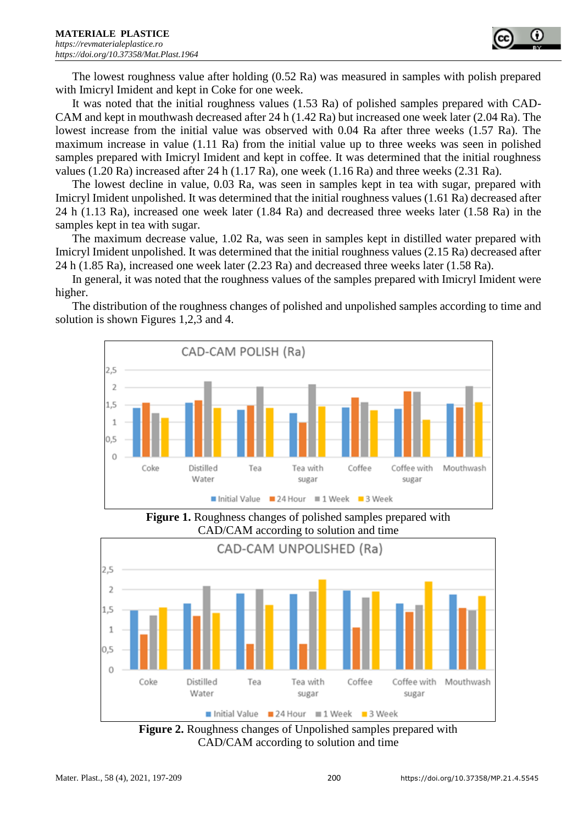

The lowest roughness value after holding (0.52 Ra) was measured in samples with polish prepared with Imicryl Imident and kept in Coke for one week.

It was noted that the initial roughness values (1.53 Ra) of polished samples prepared with CAD-CAM and kept in mouthwash decreased after 24 h (1.42 Ra) but increased one week later (2.04 Ra). The lowest increase from the initial value was observed with 0.04 Ra after three weeks (1.57 Ra). The maximum increase in value (1.11 Ra) from the initial value up to three weeks was seen in polished samples prepared with Imicryl Imident and kept in coffee. It was determined that the initial roughness values (1.20 Ra) increased after 24 h (1.17 Ra), one week (1.16 Ra) and three weeks (2.31 Ra).

The lowest decline in value, 0.03 Ra, was seen in samples kept in tea with sugar, prepared with Imicryl Imident unpolished. It was determined that the initial roughness values (1.61 Ra) decreased after 24 h (1.13 Ra), increased one week later (1.84 Ra) and decreased three weeks later (1.58 Ra) in the samples kept in tea with sugar.

The maximum decrease value, 1.02 Ra, was seen in samples kept in distilled water prepared with Imicryl Imident unpolished. It was determined that the initial roughness values (2.15 Ra) decreased after 24 h (1.85 Ra), increased one week later (2.23 Ra) and decreased three weeks later (1.58 Ra).

In general, it was noted that the roughness values of the samples prepared with Imicryl Imident were higher.

The distribution of the roughness changes of polished and unpolished samples according to time and solution is shown Figures 1,2,3 and 4.



**Figure 1.** Roughness changes of polished samples prepared with CAD/CAM according to solution and time



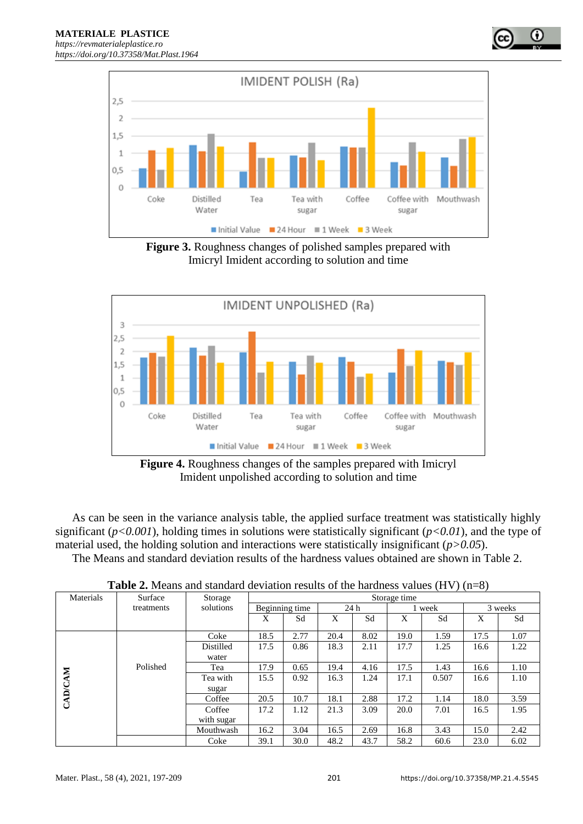

**Figure 3.** Roughness changes of polished samples prepared with Imicryl Imident according to solution and time



**Figure 4.** Roughness changes of the samples prepared with Imicryl Imident unpolished according to solution and time

As can be seen in the variance analysis table, the applied surface treatment was statistically highly significant ( $p<0.001$ ), holding times in solutions were statistically significant ( $p<0.01$ ), and the type of material used, the holding solution and interactions were statistically insignificant (*p>0.05*). The Means and standard deviation results of the hardness values obtained are shown in Table 2.

| Materials      | Surface    | Storage<br>Storage time |                |      |      |      |        |       |         |      |
|----------------|------------|-------------------------|----------------|------|------|------|--------|-------|---------|------|
|                | treatments | solutions               | Beginning time |      | 24h  |      | 1 week |       | 3 weeks |      |
|                |            |                         | X              | Sd   | X    | Sd   | X      | Sd    | X       | Sd   |
|                |            | Coke                    | 18.5           | 2.77 | 20.4 | 8.02 | 19.0   | 1.59  | 17.5    | 1.07 |
|                |            | Distilled               | 17.5           | 0.86 | 18.3 | 2.11 | 17.7   | 1.25  | 16.6    | 1.22 |
|                |            | water                   |                |      |      |      |        |       |         |      |
|                | Polished   | Tea                     | 17.9           | 0.65 | 19.4 | 4.16 | 17.5   | 1.43  | 16.6    | 1.10 |
| <b>CAD/CAM</b> |            | Tea with                | 15.5           | 0.92 | 16.3 | 1.24 | 17.1   | 0.507 | 16.6    | 1.10 |
|                |            | sugar                   |                |      |      |      |        |       |         |      |
|                |            | Coffee                  | 20.5           | 10.7 | 18.1 | 2.88 | 17.2   | 1.14  | 18.0    | 3.59 |
|                |            | Coffee                  | 17.2           | 1.12 | 21.3 | 3.09 | 20.0   | 7.01  | 16.5    | 1.95 |
|                |            | with sugar              |                |      |      |      |        |       |         |      |
|                |            | Mouthwash               | 16.2           | 3.04 | 16.5 | 2.69 | 16.8   | 3.43  | 15.0    | 2.42 |
|                |            | Coke                    | 39.1           | 30.0 | 48.2 | 43.7 | 58.2   | 60.6  | 23.0    | 6.02 |

**Table 2.** Means and standard deviation results of the hardness values (HV) (n=8)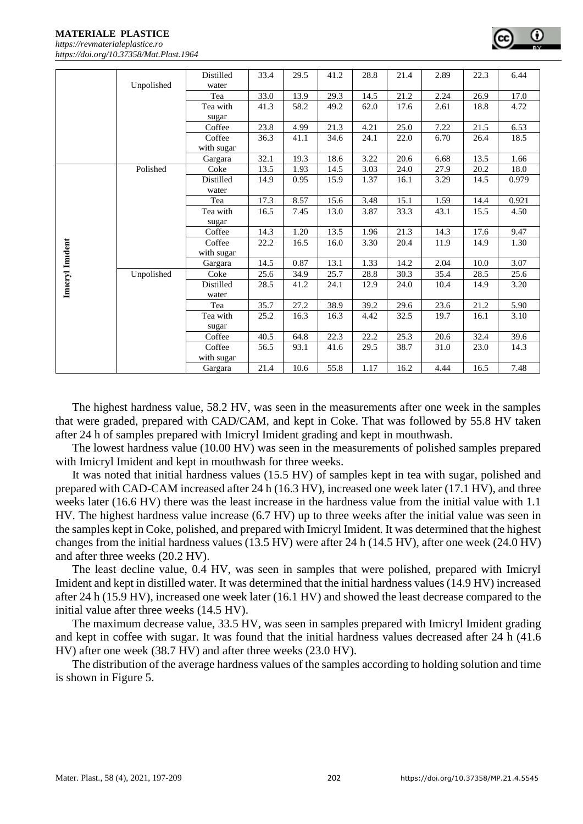**MATERIALE PLASTICE**  *[https://revmaterialeplastice.ro](https://revmaterialeplastice.ro/) https://doi.org/10.37358/Mat.Plast.1964*

|               | Unpolished | <b>Distilled</b><br>water | 33.4 | 29.5 | 41.2 | 28.8 | 21.4 | 2.89 | 22.3 | 6.44  |
|---------------|------------|---------------------------|------|------|------|------|------|------|------|-------|
|               |            | Tea                       | 33.0 | 13.9 | 29.3 | 14.5 | 21.2 | 2.24 | 26.9 | 17.0  |
|               |            | Tea with                  | 41.3 | 58.2 | 49.2 | 62.0 | 17.6 | 2.61 | 18.8 | 4.72  |
|               |            | sugar                     |      |      |      |      |      |      |      |       |
|               |            | Coffee                    | 23.8 | 4.99 | 21.3 | 4.21 | 25.0 | 7.22 | 21.5 | 6.53  |
|               |            | Coffee<br>with sugar      | 36.3 | 41.1 | 34.6 | 24.1 | 22.0 | 6.70 | 26.4 | 18.5  |
|               |            | Gargara                   | 32.1 | 19.3 | 18.6 | 3.22 | 20.6 | 6.68 | 13.5 | 1.66  |
|               | Polished   | Coke                      | 13.5 | 1.93 | 14.5 | 3.03 | 24.0 | 27.9 | 20.2 | 18.0  |
|               |            | Distilled                 | 14.9 | 0.95 | 15.9 | 1.37 | 16.1 | 3.29 | 14.5 | 0.979 |
|               |            | water                     |      |      |      |      |      |      |      |       |
|               |            | Tea                       | 17.3 | 8.57 | 15.6 | 3.48 | 15.1 | 1.59 | 14.4 | 0.921 |
|               |            | Tea with                  | 16.5 | 7.45 | 13.0 | 3.87 | 33.3 | 43.1 | 15.5 | 4.50  |
|               |            | sugar                     |      |      |      |      |      |      |      |       |
|               |            | Coffee                    | 14.3 | 1.20 | 13.5 | 1.96 | 21.3 | 14.3 | 17.6 | 9.47  |
|               |            | Coffee                    | 22.2 | 16.5 | 16.0 | 3.30 | 20.4 | 11.9 | 14.9 | 1.30  |
|               |            | with sugar                |      |      |      |      |      |      |      |       |
|               |            | Gargara                   | 14.5 | 0.87 | 13.1 | 1.33 | 14.2 | 2.04 | 10.0 | 3.07  |
|               | Unpolished | Coke                      | 25.6 | 34.9 | 25.7 | 28.8 | 30.3 | 35.4 | 28.5 | 25.6  |
| Imeryl Imdent |            | Distilled<br>water        | 28.5 | 41.2 | 24.1 | 12.9 | 24.0 | 10.4 | 14.9 | 3.20  |
|               |            | Tea                       | 35.7 | 27.2 | 38.9 | 39.2 | 29.6 | 23.6 | 21.2 | 5.90  |
|               |            | Tea with                  | 25.2 | 16.3 | 16.3 | 4.42 | 32.5 | 19.7 | 16.1 | 3.10  |
|               |            | sugar                     |      |      |      |      |      |      |      |       |
|               |            | Coffee                    | 40.5 | 64.8 | 22.3 | 22.2 | 25.3 | 20.6 | 32.4 | 39.6  |
|               |            | Coffee                    | 56.5 | 93.1 | 41.6 | 29.5 | 38.7 | 31.0 | 23.0 | 14.3  |
|               |            | with sugar                |      |      |      |      |      |      |      |       |
|               |            | Gargara                   | 21.4 | 10.6 | 55.8 | 1.17 | 16.2 | 4.44 | 16.5 | 7.48  |

The highest hardness value, 58.2 HV, was seen in the measurements after one week in the samples that were graded, prepared with CAD/CAM, and kept in Coke. That was followed by 55.8 HV taken after 24 h of samples prepared with Imicryl Imident grading and kept in mouthwash.

The lowest hardness value (10.00 HV) was seen in the measurements of polished samples prepared with Imicryl Imident and kept in mouthwash for three weeks.

It was noted that initial hardness values (15.5 HV) of samples kept in tea with sugar, polished and prepared with CAD-CAM increased after 24 h (16.3 HV), increased one week later (17.1 HV), and three weeks later (16.6 HV) there was the least increase in the hardness value from the initial value with 1.1 HV. The highest hardness value increase (6.7 HV) up to three weeks after the initial value was seen in the samples kept in Coke, polished, and prepared with Imicryl Imident. It was determined that the highest changes from the initial hardness values (13.5 HV) were after 24 h (14.5 HV), after one week (24.0 HV) and after three weeks (20.2 HV).

The least decline value, 0.4 HV, was seen in samples that were polished, prepared with Imicryl Imident and kept in distilled water. It was determined that the initial hardness values (14.9 HV) increased after 24 h (15.9 HV), increased one week later (16.1 HV) and showed the least decrease compared to the initial value after three weeks (14.5 HV).

The maximum decrease value, 33.5 HV, was seen in samples prepared with Imicryl Imident grading and kept in coffee with sugar. It was found that the initial hardness values decreased after 24 h (41.6 HV) after one week (38.7 HV) and after three weeks (23.0 HV).

The distribution of the average hardness values of the samples according to holding solution and time is shown in Figure 5.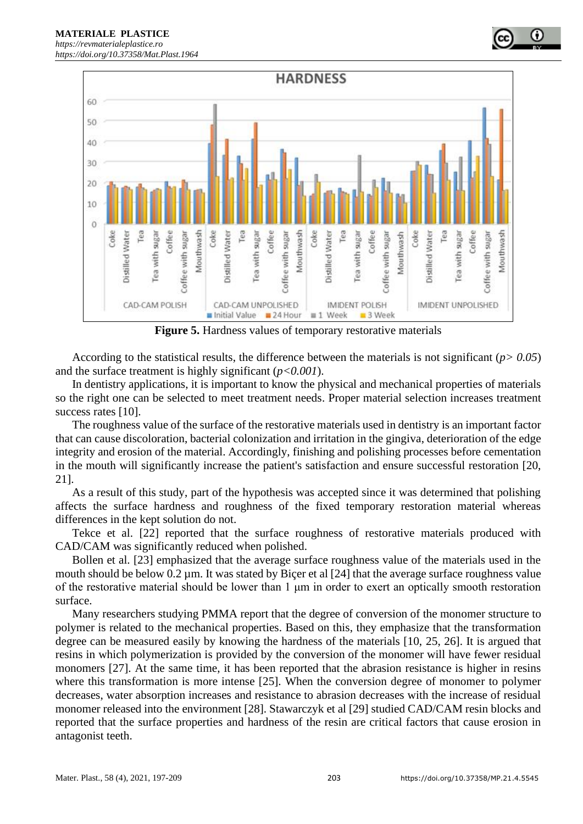

**Figure 5.** Hardness values of temporary restorative materials

According to the statistical results, the difference between the materials is not significant (*p> 0.05*) and the surface treatment is highly significant (*p<0.001*).

In dentistry applications, it is important to know the physical and mechanical properties of materials so the right one can be selected to meet treatment needs. Proper material selection increases treatment success rates [10].

The roughness value of the surface of the restorative materials used in dentistry is an important factor that can cause discoloration, bacterial colonization and irritation in the gingiva, deterioration of the edge integrity and erosion of the material. Accordingly, finishing and polishing processes before cementation in the mouth will significantly increase the patient's satisfaction and ensure successful restoration [20, 21].

As a result of this study, part of the hypothesis was accepted since it was determined that polishing affects the surface hardness and roughness of the fixed temporary restoration material whereas differences in the kept solution do not.

Tekce et al. [22] reported that the surface roughness of restorative materials produced with CAD/CAM was significantly reduced when polished.

Bollen et al. [23] emphasized that the average surface roughness value of the materials used in the mouth should be below 0.2 µm. It was stated by Bicer et al [24] that the average surface roughness value of the restorative material should be lower than 1 μm in order to exert an optically smooth restoration surface.

Many researchers studying PMMA report that the degree of conversion of the monomer structure to polymer is related to the mechanical properties. Based on this, they emphasize that the transformation degree can be measured easily by knowing the hardness of the materials [10, 25, 26]. It is argued that resins in which polymerization is provided by the conversion of the monomer will have fewer residual monomers [27]. At the same time, it has been reported that the abrasion resistance is higher in resins where this transformation is more intense [25]. When the conversion degree of monomer to polymer decreases, water absorption increases and resistance to abrasion decreases with the increase of residual monomer released into the environment [28]. Stawarczyk et al [29] studied CAD/CAM resin blocks and reported that the surface properties and hardness of the resin are critical factors that cause erosion in antagonist teeth.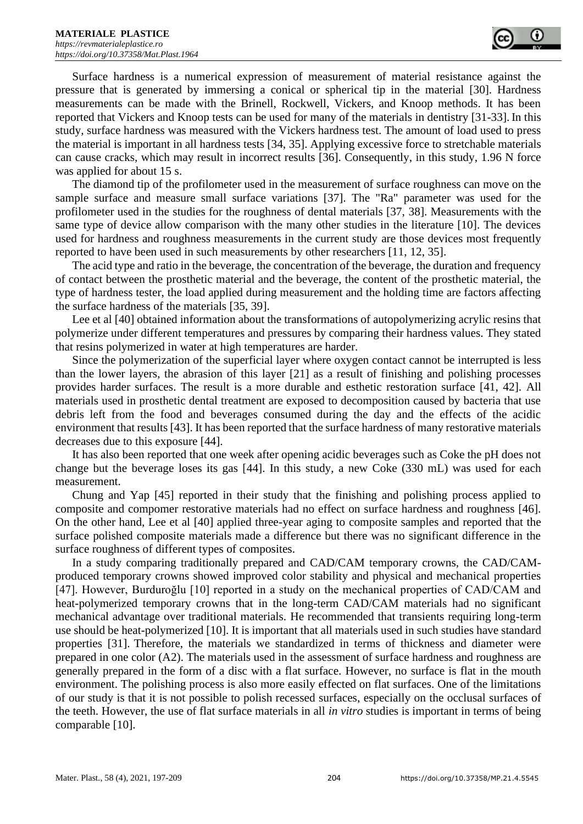Surface hardness is a numerical expression of measurement of material resistance against the pressure that is generated by immersing a conical or spherical tip in the material [30]. Hardness measurements can be made with the Brinell, Rockwell, Vickers, and Knoop methods. It has been reported that Vickers and Knoop tests can be used for many of the materials in dentistry [31-33]. In this study, surface hardness was measured with the Vickers hardness test. The amount of load used to press the material is important in all hardness tests [34, 35]. Applying excessive force to stretchable materials can cause cracks, which may result in incorrect results [36]. Consequently, in this study, 1.96 N force was applied for about 15 s.

The diamond tip of the profilometer used in the measurement of surface roughness can move on the sample surface and measure small surface variations [37]. The "Ra" parameter was used for the profilometer used in the studies for the roughness of dental materials [37, 38]. Measurements with the same type of device allow comparison with the many other studies in the literature [10]. The devices used for hardness and roughness measurements in the current study are those devices most frequently reported to have been used in such measurements by other researchers [11, 12, 35].

The acid type and ratio in the beverage, the concentration of the beverage, the duration and frequency of contact between the prosthetic material and the beverage, the content of the prosthetic material, the type of hardness tester, the load applied during measurement and the holding time are factors affecting the surface hardness of the materials [35, 39].

Lee et al [40] obtained information about the transformations of autopolymerizing acrylic resins that polymerize under different temperatures and pressures by comparing their hardness values. They stated that resins polymerized in water at high temperatures are harder.

Since the polymerization of the superficial layer where oxygen contact cannot be interrupted is less than the lower layers, the abrasion of this layer [21] as a result of finishing and polishing processes provides harder surfaces. The result is a more durable and esthetic restoration surface [41, 42]. All materials used in prosthetic dental treatment are exposed to decomposition caused by bacteria that use debris left from the food and beverages consumed during the day and the effects of the acidic environment that results [43]. It has been reported that the surface hardness of many restorative materials decreases due to this exposure [44].

It has also been reported that one week after opening acidic beverages such as Coke the pH does not change but the beverage loses its gas [44]. In this study, a new Coke (330 mL) was used for each measurement.

Chung and Yap [45] reported in their study that the finishing and polishing process applied to composite and compomer restorative materials had no effect on surface hardness and roughness [46]. On the other hand, Lee et al [40] applied three-year aging to composite samples and reported that the surface polished composite materials made a difference but there was no significant difference in the surface roughness of different types of composites.

In a study comparing traditionally prepared and CAD/CAM temporary crowns, the CAD/CAMproduced temporary crowns showed improved color stability and physical and mechanical properties [47]. However, Burduroğlu [10] reported in a study on the mechanical properties of CAD/CAM and heat-polymerized temporary crowns that in the long-term CAD/CAM materials had no significant mechanical advantage over traditional materials. He recommended that transients requiring long-term use should be heat-polymerized [10]. It is important that all materials used in such studies have standard properties [31]. Therefore, the materials we standardized in terms of thickness and diameter were prepared in one color (A2). The materials used in the assessment of surface hardness and roughness are generally prepared in the form of a disc with a flat surface. However, no surface is flat in the mouth environment. The polishing process is also more easily effected on flat surfaces. One of the limitations of our study is that it is not possible to polish recessed surfaces, especially on the occlusal surfaces of the teeth. However, the use of flat surface materials in all *in vitro* studies is important in terms of being comparable [10].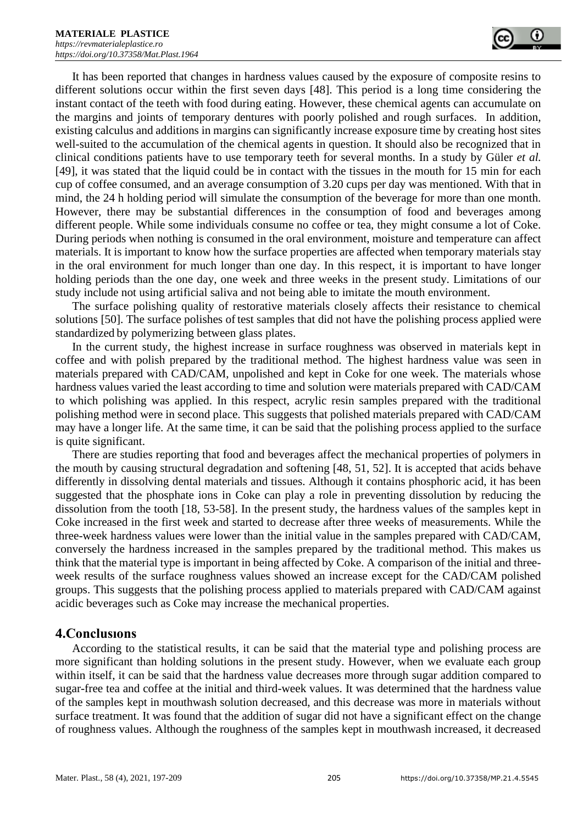It has been reported that changes in hardness values caused by the exposure of composite resins to different solutions occur within the first seven days [48]. This period is a long time considering the instant contact of the teeth with food during eating. However, these chemical agents can accumulate on the margins and joints of temporary dentures with poorly polished and rough surfaces. In addition, existing calculus and additions in margins can significantly increase exposure time by creating host sites well-suited to the accumulation of the chemical agents in question. It should also be recognized that in clinical conditions patients have to use temporary teeth for several months. In a study by Güler *et al.*  [49], it was stated that the liquid could be in contact with the tissues in the mouth for 15 min for each cup of coffee consumed, and an average consumption of 3.20 cups per day was mentioned. With that in mind, the 24 h holding period will simulate the consumption of the beverage for more than one month. However, there may be substantial differences in the consumption of food and beverages among different people. While some individuals consume no coffee or tea, they might consume a lot of Coke. During periods when nothing is consumed in the oral environment, moisture and temperature can affect materials. It is important to know how the surface properties are affected when temporary materials stay in the oral environment for much longer than one day. In this respect, it is important to have longer holding periods than the one day, one week and three weeks in the present study. Limitations of our study include not using artificial saliva and not being able to imitate the mouth environment.

The surface polishing quality of restorative materials closely affects their resistance to chemical solutions [50]. The surface polishes of test samples that did not have the polishing process applied were standardized by polymerizing between glass plates.

In the current study, the highest increase in surface roughness was observed in materials kept in coffee and with polish prepared by the traditional method. The highest hardness value was seen in materials prepared with CAD/CAM, unpolished and kept in Coke for one week. The materials whose hardness values varied the least according to time and solution were materials prepared with CAD/CAM to which polishing was applied. In this respect, acrylic resin samples prepared with the traditional polishing method were in second place. This suggests that polished materials prepared with CAD/CAM may have a longer life. At the same time, it can be said that the polishing process applied to the surface is quite significant.

There are studies reporting that food and beverages affect the mechanical properties of polymers in the mouth by causing structural degradation and softening [48, 51, 52]. It is accepted that acids behave differently in dissolving dental materials and tissues. Although it contains phosphoric acid, it has been suggested that the phosphate ions in Coke can play a role in preventing dissolution by reducing the dissolution from the tooth [18, 53-58]. In the present study, the hardness values of the samples kept in Coke increased in the first week and started to decrease after three weeks of measurements. While the three-week hardness values were lower than the initial value in the samples prepared with CAD/CAM, conversely the hardness increased in the samples prepared by the traditional method. This makes us think that the material type is important in being affected by Coke. A comparison of the initial and threeweek results of the surface roughness values showed an increase except for the CAD/CAM polished groups. This suggests that the polishing process applied to materials prepared with CAD/CAM against acidic beverages such as Coke may increase the mechanical properties.

## **4.Conclusıons**

According to the statistical results, it can be said that the material type and polishing process are more significant than holding solutions in the present study. However, when we evaluate each group within itself, it can be said that the hardness value decreases more through sugar addition compared to sugar-free tea and coffee at the initial and third-week values. It was determined that the hardness value of the samples kept in mouthwash solution decreased, and this decrease was more in materials without surface treatment. It was found that the addition of sugar did not have a significant effect on the change of roughness values. Although the roughness of the samples kept in mouthwash increased, it decreased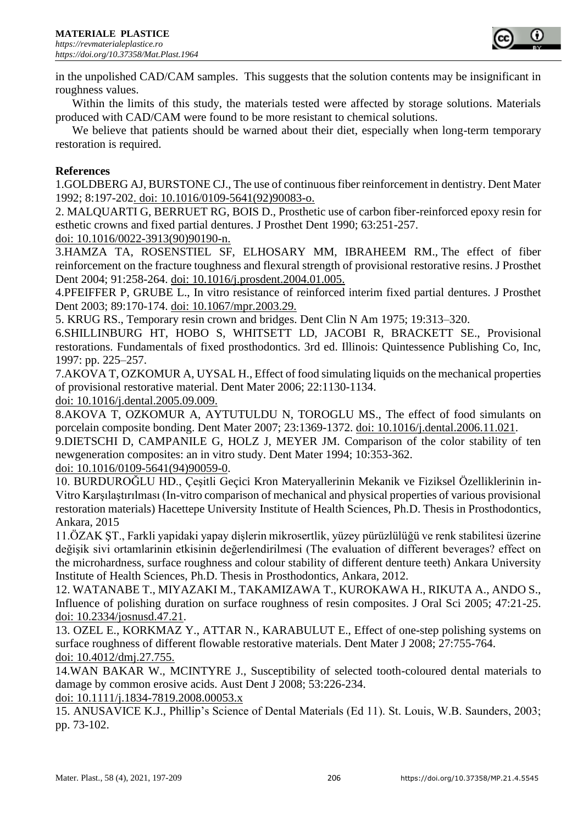

in the unpolished CAD/CAM samples. This suggests that the solution contents may be insignificant in roughness values.

Within the limits of this study, the materials tested were affected by storage solutions. Materials produced with CAD/CAM were found to be more resistant to chemical solutions.

We believe that patients should be warned about their diet, especially when long-term temporary restoration is required.

#### **References**

1.GOLDBERG AJ, BURSTONE CJ., The use of continuous fiber reinforcement in dentistry. Dent Mater 1992; 8:197-202. doi: 10.1016/0109-5641(92)90083-o.

2. MALQUARTI G, BERRUET RG, BOIS D., Prosthetic use of carbon fiber-reinforced epoxy resin for esthetic crowns and fixed partial dentures. J Prosthet Dent 1990; 63:251-257.

doi: 10.1016/0022-3913(90)90190-n.

3.HAMZA TA, ROSENSTIEL SF, ELHOSARY MM, IBRAHEEM RM., The effect of fiber reinforcement on the fracture toughness and flexural strength of provisional restorative resins. J Prosthet Dent 2004; 91:258-264. doi: 10.1016/j.prosdent.2004.01.005.

4.PFEIFFER P, GRUBE L., In vitro resistance of reinforced interim fixed partial dentures. J Prosthet Dent 2003; 89:170-174. doi: 10.1067/mpr.2003.29.

5. KRUG RS., Temporary resin crown and bridges. Dent Clin N Am 1975; 19:313–320.

6.SHILLINBURG HT, HOBO S, WHITSETT LD, JACOBI R, BRACKETT SE., Provisional restorations. Fundamentals of fixed prosthodontics. 3rd ed. Illinois: Quintessence Publishing Co, Inc, 1997: pp. 225–257.

7.AKOVA T, OZKOMUR A, UYSAL H., Effect of food simulating liquids on the mechanical properties of provisional restorative material. Dent Mater 2006; 22:1130-1134.

doi: 10.1016/j.dental.2005.09.009.

8.AKOVA T, OZKOMUR A, AYTUTULDU N, TOROGLU MS., The effect of food simulants on porcelain composite bonding. Dent Mater 2007; 23:1369-1372. doi: 10.1016/j.dental.2006.11.021.

9.DIETSCHI D, CAMPANILE G, HOLZ J, MEYER JM. Comparison of the color stability of ten newgeneration composites: an in vitro study. Dent Mater 1994; 10:353-362.

doi: 10.1016/0109-5641(94)90059-0.

10. BURDUROĞLU HD., Çeşitli Geçici Kron Materyallerinin Mekanik ve Fiziksel Özelliklerinin in-Vitro Karşılaştırılması (In-vitro comparison of mechanical and physical properties of various provisional restoration materials) Hacettepe University Institute of Health Sciences, Ph.D. Thesis in Prosthodontics, Ankara, 2015

11.ÖZAK ŞT., Farkli yapidaki yapay dişlerin mikrosertlik, yüzey pürüzlülüğü ve renk stabilitesi üzerine değişik sivi ortamlarinin etkisinin değerlendirilmesi (The evaluation of different beverages? effect on the microhardness, surface roughness and colour stability of different denture teeth) Ankara University Institute of Health Sciences, Ph.D. Thesis in Prosthodontics, Ankara, 2012.

12. WATANABE T., MIYAZAKI M., TAKAMIZAWA T., KUROKAWA H., RIKUTA A., ANDO S., Influence of polishing duration on surface roughness of resin composites. J Oral Sci 2005; 47:21-25. doi: 10.2334/josnusd.47.21.

13. OZEL E., KORKMAZ Y., ATTAR N., KARABULUT E., Effect of one-step polishing systems on surface roughness of different flowable restorative materials. Dent Mater J 2008; 27:755-764. doi: 10.4012/dmj.27.755.

14.WAN BAKAR W., MCINTYRE J., Susceptibility of selected tooth-coloured dental materials to damage by common erosive acids. Aust Dent J 2008; 53:226-234.

doi: 10.1111/j.1834-7819.2008.00053.x

15. ANUSAVICE K.J., Phillip's Science of Dental Materials (Ed 11). St. Louis, W.B. Saunders, 2003; pp. 73-102.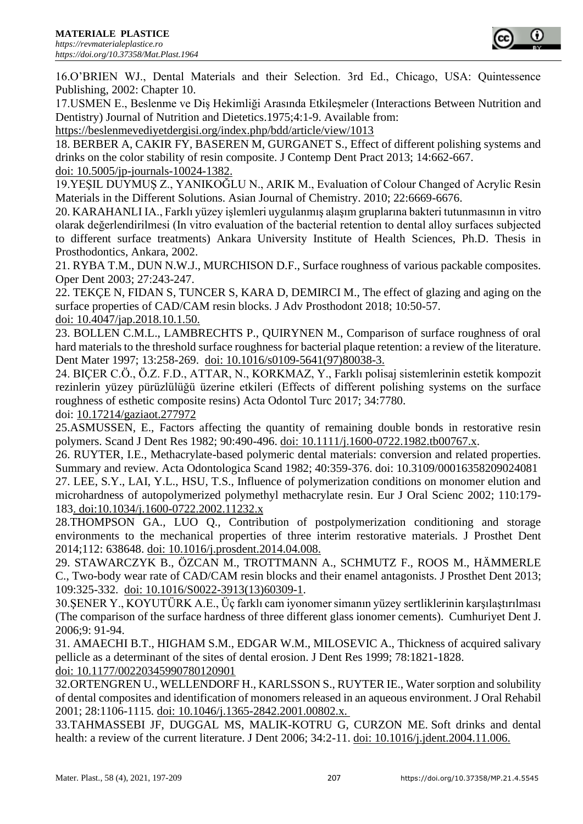16.O'BRIEN WJ., Dental Materials and their Selection. 3rd Ed., Chicago, USA: Quintessence Publishing, 2002: Chapter 10.

17.USMEN E., Beslenme ve Diş Hekimliği Arasında Etkileşmeler (Interactions Between Nutrition and Dentistry) Journal of Nutrition and Dietetics.1975;4:1-9. Available from:

https://beslenmevediyetdergisi.org/index.php/bdd/article/view/1013

18. BERBER A, CAKIR FY, BASEREN M, GURGANET S., Effect of different polishing systems and drinks on the color stability of resin composite. J Contemp Dent Pract 2013; 14:662-667. doi: 10.5005/jp-journals-10024-1382.

19.YEŞIL DUYMUŞ Z., YANIKOĞLU N., ARIK M., Evaluation of Colour Changed of Acrylic Resin Materials in the Different Solutions. Asian Journal of Chemistry. 2010; 22:6669-6676.

20. KARAHANLI IA., Farklı yüzey işlemleri uygulanmış alaşım gruplarına bakteri tutunmasının in vitro olarak değerlendirilmesi (In vitro evaluation of the bacterial retention to dental alloy surfaces subjected to different surface treatments) Ankara University Institute of Health Sciences, Ph.D. Thesis in Prosthodontics, Ankara, 2002.

21. RYBA T.M., DUN N.W.J., MURCHISON D.F., Surface roughness of various packable composites. Oper Dent 2003; 27:243-247.

22. TEKÇE N, FIDAN S, TUNCER S, KARA D, DEMIRCI M., The effect of glazing and aging on the surface properties of CAD/CAM resin blocks. J Adv Prosthodont 2018; 10:50-57.

doi: 10.4047/jap.2018.10.1.50.

23. BOLLEN C.M.L., LAMBRECHTS P., QUIRYNEN M., Comparison of surface roughness of oral hard materials to the threshold surface roughness for bacterial plaque retention: a review of the literature. Dent Mater 1997; 13:258-269. doi: 10.1016/s0109-5641(97)80038-3.

24. BIÇER C.Ö., Ö.Z. F.D., ATTAR, N., KORKMAZ, Y., Farklı polisaj sistemlerinin estetik kompozit rezinlerin yüzey pürüzlülüğü üzerine etkileri (Effects of different polishing systems on the surface roughness of esthetic composite resins) Acta Odontol Turc 2017; 34:7780.

doi: [10.17214/gaziaot.277972](https://doi.org/10.17214/gaziaot.277972)

25.ASMUSSEN, E., Factors affecting the quantity of remaining double bonds in restorative resin polymers. Scand J Dent Res 1982; 90:490-496. doi: 10.1111/j.1600-0722.1982.tb00767.x.

26. RUYTER, I.E., Methacrylate-based polymeric dental materials: conversion and related properties. Summary and review. Acta Odontologica Scand 1982; 40:359-376. doi: 10.3109/00016358209024081

27. LEE, S.Y., LAI, Y.L., HSU, T.S., Influence of polymerization conditions on monomer elution and microhardness of autopolymerized polymethyl methacrylate resin. Eur J Oral Scienc 2002; 110:179- 183. doi:10.1034/j.1600-0722.2002.11232.x

28.THOMPSON GA., LUO Q., Contribution of postpolymerization conditioning and storage environments to the mechanical properties of three interim restorative materials. J Prosthet Dent 2014;112: 638648. doi: 10.1016/j.prosdent.2014.04.008.

29. STAWARCZYK B., ÖZCAN M., TROTTMANN A., SCHMUTZ F., ROOS M., HÄMMERLE C., Two-body wear rate of CAD/CAM resin blocks and their enamel antagonists. J Prosthet Dent 2013; 109:325-332. doi: 10.1016/S0022-3913(13)60309-1.

30.ŞENER Y., KOYUTÜRK A.E., Üç farklı cam iyonomer simanın yüzey sertliklerinin karşılaştırılması (The comparison of the surface hardness of three different glass ionomer cements). Cumhuriyet Dent J. 2006;9: 91-94.

31. AMAECHI B.T., HIGHAM S.M., EDGAR W.M., MILOSEVIC A., Thickness of acquired salivary pellicle as a determinant of the sites of dental erosion. J Dent Res 1999; 78:1821-1828. doi: 10.1177/00220345990780120901

32.ORTENGREN U., WELLENDORF H., KARLSSON S., RUYTER IE., Water sorption and solubility of dental composites and identification of monomers released in an aqueous environment. J Oral Rehabil 2001; 28:1106-1115. doi: 10.1046/j.1365-2842.2001.00802.x.

33.TAHMASSEBI JF, DUGGAL MS, MALIK-KOTRU G, CURZON ME. Soft drinks and dental health: a review of the current literature. J Dent 2006; 34:2-11. doi: 10.1016/j.jdent.2004.11.006.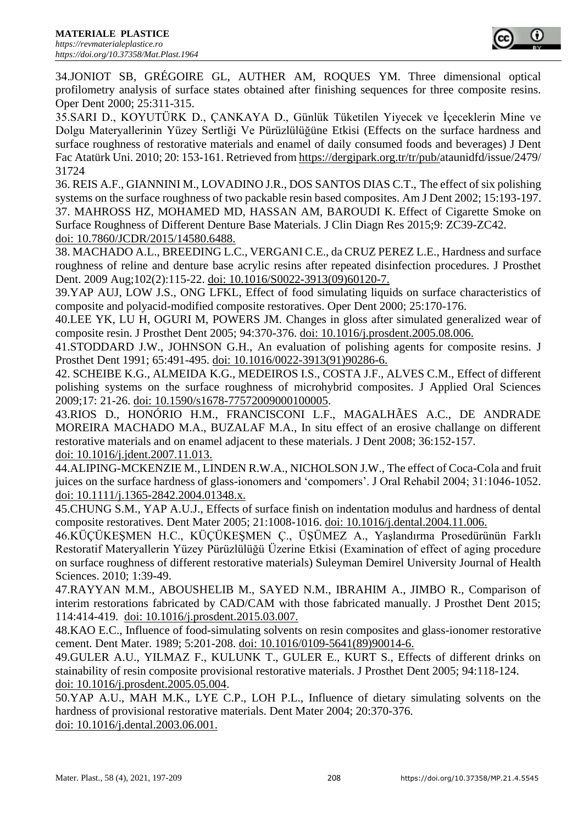34.JONIOT SB, GRÉGOIRE GL, AUTHER AM, ROQUES YM. Three dimensional optical profilometry analysis of surface states obtained after finishing sequences for three composite resins. Oper Dent 2000; 25:311-315.

35.SARI D., KOYUTÜRK D., ÇANKAYA D., Günlük Tüketilen Yiyecek ve İçeceklerin Mine ve Dolgu Materyallerinin Yüzey Sertliği Ve Pürüzlülüğüne Etkisi (Effects on the surface hardness and surface roughness of restorative materials and enamel of daily consumed foods and beverages) J Dent Fac Atatürk Uni. 2010; 20: 153-161. Retrieved fro[m https://dergipark.org.tr/tr/pub/a](https://dergipark.org.tr/tr/pub/)taunidfd/issue/2479/ 31724

36. REIS A.F., GIANNINI M., LOVADINO J.R., DOS SANTOS DIAS C.T., The effect of six polishing systems on the surface roughness of two packable resin based composites. Am J Dent 2002; 15:193-197. 37. MAHROSS HZ, MOHAMED MD, HASSAN AM, BAROUDI K. Effect of Cigarette Smoke on Surface Roughness of Different Denture Base Materials. J Clin Diagn Res 2015;9: ZC39-ZC42. doi: 10.7860/JCDR/2015/14580.6488.

38. MACHADO A.L., BREEDING L.C., VERGANI C.E., da CRUZ PEREZ L.E., Hardness and surface roughness of reline and denture base acrylic resins after repeated disinfection procedures. J Prosthet Dent. 2009 Aug;102(2):115-22. doi: 10.1016/S0022-3913(09)60120-7.

39.YAP AUJ, LOW J.S., ONG LFKL, Effect of food simulating liquids on surface characteristics of composite and polyacid-modified composite restoratives. Oper Dent 2000; 25:170-176.

40.LEE YK, LU H, OGURI M, POWERS JM. Changes in gloss after simulated generalized wear of composite resin. J Prosthet Dent 2005; 94:370-376. doi: 10.1016/j.prosdent.2005.08.006.

41.STODDARD J.W., JOHNSON G.H., An evaluation of polishing agents for composite resins. J Prosthet Dent 1991; 65:491-495. doi: 10.1016/0022-3913(91)90286-6.

42. SCHEIBE K.G., ALMEIDA K.G., MEDEIROS I.S., COSTA J.F., ALVES C.M., Effect of different polishing systems on the surface roughness of microhybrid composites. J Applied Oral Sciences 2009;17: 21-26. doi: 10.1590/s1678-77572009000100005.

43.RIOS D., HONÓRIO H.M., FRANCISCONI L.F., MAGALHÃES A.C., DE ANDRADE MOREIRA MACHADO M.A., BUZALAF M.A., In situ effect of an erosive challange on different restorative materials and on enamel adjacent to these materials. J Dent 2008; 36:152-157. doi: 10.1016/j.jdent.2007.11.013.

44.ALIPING-MCKENZIE M., LINDEN R.W.A., NICHOLSON J.W., The effect of Coca-Cola and fruit juices on the surface hardness of glass-ionomers and 'compomers'. J Oral Rehabil 2004; 31:1046-1052. doi: 10.1111/j.1365-2842.2004.01348.x.

45.CHUNG S.M., YAP A.U.J., Effects of surface finish on indentation modulus and hardness of dental composite restoratives. Dent Mater 2005; 21:1008-1016. doi: 10.1016/j.dental.2004.11.006.

46.KÜÇÜKEŞMEN H.C., KÜÇÜKEŞMEN Ç., ÜŞÜMEZ A., Yaşlandırma Prosedürünün Farklı Restoratif Materyallerin Yüzey Pürüzlülüğü Üzerine Etkisi (Examination of effect of aging procedure on surface roughness of different restorative materials) Suleyman Demirel University Journal of Health Sciences. 2010; 1:39-49.

47.RAYYAN M.M., ABOUSHELIB M., SAYED N.M., IBRAHIM A., JIMBO R., Comparison of interim restorations fabricated by CAD/CAM with those fabricated manually. J Prosthet Dent 2015; 114:414-419. doi: 10.1016/j.prosdent.2015.03.007.

48.KAO E.C., Influence of food-simulating solvents on resin composites and glass-ionomer restorative cement. Dent Mater. 1989; 5:201-208. doi: 10.1016/0109-5641(89)90014-6.

49.GULER A.U., YILMAZ F., KULUNK T., GULER E., KURT S., Effects of different drinks on stainability of resin composite provisional restorative materials. J Prosthet Dent 2005; 94:118-124. doi: 10.1016/j.prosdent.2005.05.004.

50.YAP A.U., MAH M.K., LYE C.P., LOH P.L., Influence of dietary simulating solvents on the hardness of provisional restorative materials. Dent Mater 2004; 20:370-376. doi: 10.1016/j.dental.2003.06.001.